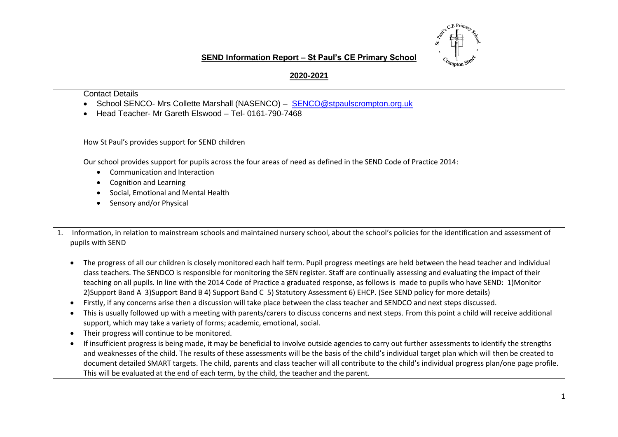

## **SEND Information Report – St Paul's CE Primary School**

## **2020-2021**

## Contact Details

- School SENCO- Mrs Collette Marshall (NASENCO) [SENCO@stpaulscrompton.org.uk](mailto:SENCO@stpaulscrompton.org.uk)
- Head Teacher- Mr Gareth Elswood Tel- 0161-790-7468

How St Paul's provides support for SEND children

Our school provides support for pupils across the four areas of need as defined in the SEND Code of Practice 2014:

- Communication and Interaction
- Cognition and Learning
- Social, Emotional and Mental Health
- Sensory and/or Physical

1. Information, in relation to mainstream schools and maintained nursery school, about the school's policies for the identification and assessment of pupils with SEND

- The progress of all our children is closely monitored each half term. Pupil progress meetings are held between the head teacher and individual class teachers. The SENDCO is responsible for monitoring the SEN register. Staff are continually assessing and evaluating the impact of their teaching on all pupils. In line with the 2014 Code of Practice a graduated response, as follows is made to pupils who have SEND: 1)Monitor 2)Support Band A 3)Support Band B 4) Support Band C 5) Statutory Assessment 6) EHCP. (See SEND policy for more details)
- Firstly, if any concerns arise then a discussion will take place between the class teacher and SENDCO and next steps discussed.
- This is usually followed up with a meeting with parents/carers to discuss concerns and next steps. From this point a child will receive additional support, which may take a variety of forms; academic, emotional, social.
- Their progress will continue to be monitored.
- If insufficient progress is being made, it may be beneficial to involve outside agencies to carry out further assessments to identify the strengths and weaknesses of the child. The results of these assessments will be the basis of the child's individual target plan which will then be created to document detailed SMART targets. The child, parents and class teacher will all contribute to the child's individual progress plan/one page profile. This will be evaluated at the end of each term, by the child, the teacher and the parent.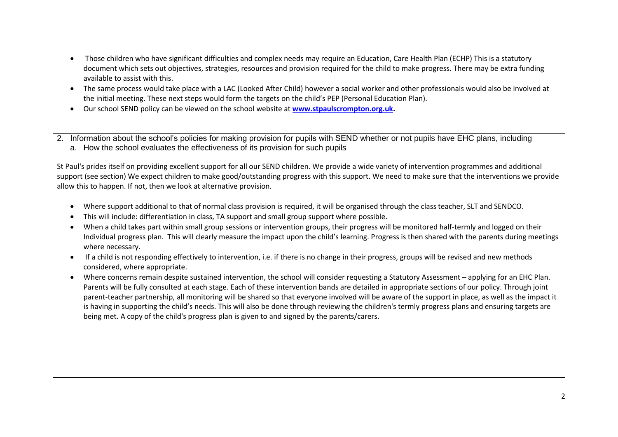- Those children who have significant difficulties and complex needs may require an Education, Care Health Plan (ECHP) This is a statutory document which sets out objectives, strategies, resources and provision required for the child to make progress. There may be extra funding available to assist with this.
- The same process would take place with a LAC (Looked After Child) however a social worker and other professionals would also be involved at the initial meeting. These next steps would form the targets on the child's PEP (Personal Education Plan).
- Our school SEND policy can be viewed on the school website at **[www.stpaulscrompton.org.uk.](http://www.stpaulscrompton.org.uk/)**
- 2. Information about the school's policies for making provision for pupils with SEND whether or not pupils have EHC plans, including a. How the school evaluates the effectiveness of its provision for such pupils

St Paul's prides itself on providing excellent support for all our SEND children. We provide a wide variety of intervention programmes and additional support (see section) We expect children to make good/outstanding progress with this support. We need to make sure that the interventions we provide allow this to happen. If not, then we look at alternative provision.

- Where support additional to that of normal class provision is required, it will be organised through the class teacher, SLT and SENDCO.
- This will include: differentiation in class, TA support and small group support where possible.
- When a child takes part within small group sessions or intervention groups, their progress will be monitored half-termly and logged on their Individual progress plan. This will clearly measure the impact upon the child's learning. Progress is then shared with the parents during meetings where necessary.
- If a child is not responding effectively to intervention, i.e. if there is no change in their progress, groups will be revised and new methods considered, where appropriate.
- Where concerns remain despite sustained intervention, the school will consider requesting a Statutory Assessment applying for an EHC Plan. Parents will be fully consulted at each stage. Each of these intervention bands are detailed in appropriate sections of our policy. Through joint parent-teacher partnership, all monitoring will be shared so that everyone involved will be aware of the support in place, as well as the impact it is having in supporting the child's needs. This will also be done through reviewing the children's termly progress plans and ensuring targets are being met. A copy of the child's progress plan is given to and signed by the parents/carers.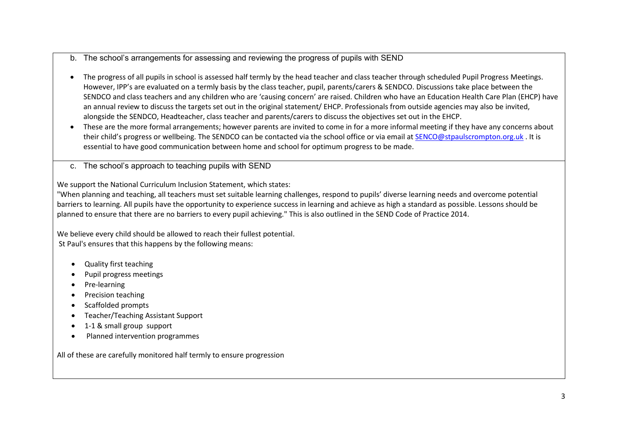- b. The school's arrangements for assessing and reviewing the progress of pupils with SEND
- The progress of all pupils in school is assessed half termly by the head teacher and class teacher through scheduled Pupil Progress Meetings. However, IPP's are evaluated on a termly basis by the class teacher, pupil, parents/carers & SENDCO. Discussions take place between the SENDCO and class teachers and any children who are 'causing concern' are raised. Children who have an Education Health Care Plan (EHCP) have an annual review to discuss the targets set out in the original statement/ EHCP. Professionals from outside agencies may also be invited, alongside the SENDCO, Headteacher, class teacher and parents/carers to discuss the objectives set out in the EHCP.
- These are the more formal arrangements; however parents are invited to come in for a more informal meeting if they have any concerns about their child's progress or wellbeing. The SENDCO can be contacted via the school office or via email a[t SENCO@stpaulscrompton.org.uk](mailto:SENCO@stpaulscrompton.org.uk) . It is essential to have good communication between home and school for optimum progress to be made.
- c. The school's approach to teaching pupils with SEND

We support the National Curriculum Inclusion Statement, which states:

"When planning and teaching, all teachers must set suitable learning challenges, respond to pupils' diverse learning needs and overcome potential barriers to learning. All pupils have the opportunity to experience success in learning and achieve as high a standard as possible. Lessons should be planned to ensure that there are no barriers to every pupil achieving." This is also outlined in the SEND Code of Practice 2014.

We believe every child should be allowed to reach their fullest potential. St Paul's ensures that this happens by the following means:

- Quality first teaching
- Pupil progress meetings
- Pre-learning
- Precision teaching
- Scaffolded prompts
- Teacher/Teaching Assistant Support
- 1-1 & small group support
- Planned intervention programmes

All of these are carefully monitored half termly to ensure progression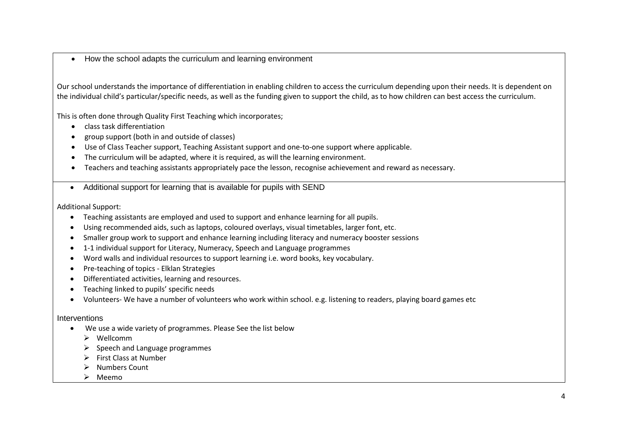• How the school adapts the curriculum and learning environment

Our school understands the importance of differentiation in enabling children to access the curriculum depending upon their needs. It is dependent on the individual child's particular/specific needs, as well as the funding given to support the child, as to how children can best access the curriculum.

This is often done through Quality First Teaching which incorporates;

- class task differentiation
- group support (both in and outside of classes)
- Use of Class Teacher support, Teaching Assistant support and one-to-one support where applicable.
- The curriculum will be adapted, where it is required, as will the learning environment.
- Teachers and teaching assistants appropriately pace the lesson, recognise achievement and reward as necessary.
- Additional support for learning that is available for pupils with SEND

Additional Support:

- Teaching assistants are employed and used to support and enhance learning for all pupils.
- Using recommended aids, such as laptops, coloured overlays, visual timetables, larger font, etc.
- Smaller group work to support and enhance learning including literacy and numeracy booster sessions
- 1-1 individual support for Literacy, Numeracy, Speech and Language programmes
- Word walls and individual resources to support learning i.e. word books, key vocabulary.
- Pre-teaching of topics Elklan Strategies
- Differentiated activities, learning and resources.
- Teaching linked to pupils' specific needs
- Volunteers- We have a number of volunteers who work within school. e.g. listening to readers, playing board games etc

### Interventions

- We use a wide variety of programmes. Please See the list below
	- ➢ Wellcomm
	- $\triangleright$  Speech and Language programmes
	- ➢ First Class at Number
	- ➢ Numbers Count
	- ➢ Meemo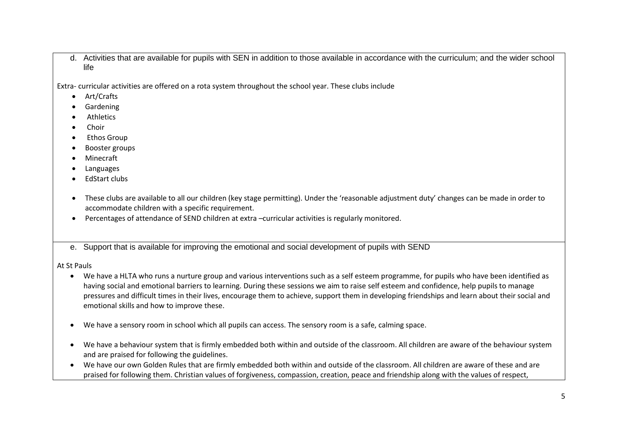d. Activities that are available for pupils with SEN in addition to those available in accordance with the curriculum; and the wider school life

Extra- curricular activities are offered on a rota system throughout the school year. These clubs include

- Art/Crafts
- Gardening
- **Athletics**
- Choir
- Ethos Group
- Booster groups
- Minecraft
- Languages
- EdStart clubs
- These clubs are available to all our children (key stage permitting). Under the 'reasonable adjustment duty' changes can be made in order to accommodate children with a specific requirement.
- Percentages of attendance of SEND children at extra –curricular activities is regularly monitored.

e. Support that is available for improving the emotional and social development of pupils with SEND

At St Pauls

- We have a HLTA who runs a nurture group and various interventions such as a self esteem programme, for pupils who have been identified as having social and emotional barriers to learning. During these sessions we aim to raise self esteem and confidence, help pupils to manage pressures and difficult times in their lives, encourage them to achieve, support them in developing friendships and learn about their social and emotional skills and how to improve these.
- We have a sensory room in school which all pupils can access. The sensory room is a safe, calming space.
- We have a behaviour system that is firmly embedded both within and outside of the classroom. All children are aware of the behaviour system and are praised for following the guidelines.
- We have our own Golden Rules that are firmly embedded both within and outside of the classroom. All children are aware of these and are praised for following them. Christian values of forgiveness, compassion, creation, peace and friendship along with the values of respect,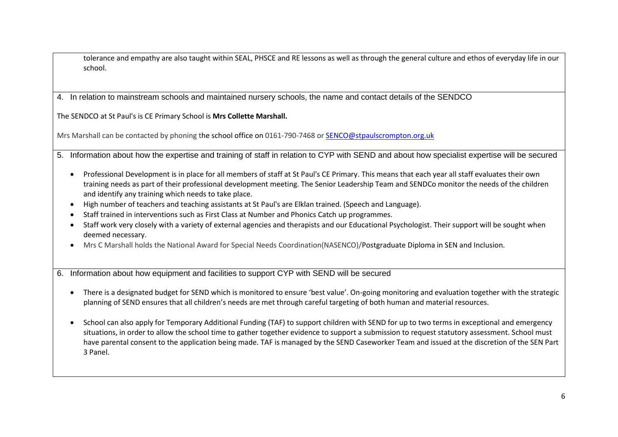tolerance and empathy are also taught within SEAL, PHSCE and RE lessons as well as through the general culture and ethos of everyday life in our school.

4. In relation to mainstream schools and maintained nursery schools, the name and contact details of the SENDCO

The SENDCO at St Paul's is CE Primary School is **Mrs Collette Marshall.** 

Mrs Marshall can be contacted by phoning the school office on 0161-790-7468 or [SENCO@stpaulscrompton.org.uk](mailto:SENCO@stpaulscrompton.org.uk)

- 5. Information about how the expertise and training of staff in relation to CYP with SEND and about how specialist expertise will be secured
	- Professional Development is in place for all members of staff at St Paul's CE Primary. This means that each year all staff evaluates their own training needs as part of their professional development meeting. The Senior Leadership Team and SENDCo monitor the needs of the children and identify any training which needs to take place.
	- High number of teachers and teaching assistants at St Paul's are Elklan trained. (Speech and Language).
	- Staff trained in interventions such as First Class at Number and Phonics Catch up programmes.
	- Staff work very closely with a variety of external agencies and therapists and our Educational Psychologist. Their support will be sought when deemed necessary.
	- Mrs C Marshall holds the National Award for Special Needs Coordination(NASENCO)/Postgraduate Diploma in SEN and Inclusion.
- 6. Information about how equipment and facilities to support CYP with SEND will be secured
	- There is a designated budget for SEND which is monitored to ensure 'best value'. On-going monitoring and evaluation together with the strategic planning of SEND ensures that all children's needs are met through careful targeting of both human and material resources.
	- School can also apply for Temporary Additional Funding (TAF) to support children with SEND for up to two terms in exceptional and emergency situations, in order to allow the school time to gather together evidence to support a submission to request statutory assessment. School must have parental consent to the application being made. TAF is managed by the SEND Caseworker Team and issued at the discretion of the SEN Part 3 Panel.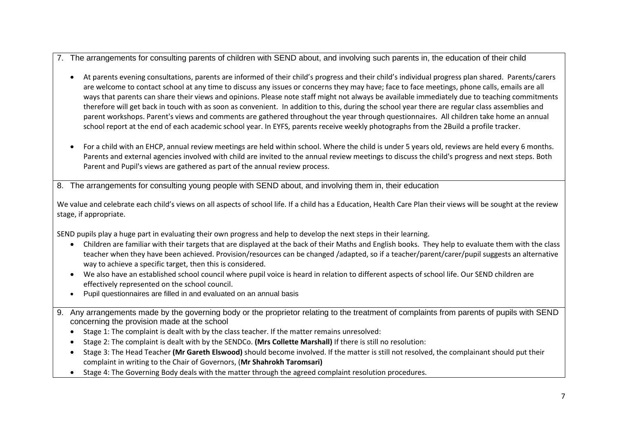- 7. The arrangements for consulting parents of children with SEND about, and involving such parents in, the education of their child
	- At parents evening consultations, parents are informed of their child's progress and their child's individual progress plan shared. Parents/carers are welcome to contact school at any time to discuss any issues or concerns they may have; face to face meetings, phone calls, emails are all ways that parents can share their views and opinions. Please note staff might not always be available immediately due to teaching commitments therefore will get back in touch with as soon as convenient. In addition to this, during the school year there are regular class assemblies and parent workshops. Parent's views and comments are gathered throughout the year through questionnaires. All children take home an annual school report at the end of each academic school year. In EYFS, parents receive weekly photographs from the 2Build a profile tracker.
	- For a child with an EHCP, annual review meetings are held within school. Where the child is under 5 years old, reviews are held every 6 months. Parents and external agencies involved with child are invited to the annual review meetings to discuss the child's progress and next steps. Both Parent and Pupil's views are gathered as part of the annual review process.
- 8. The arrangements for consulting young people with SEND about, and involving them in, their education

We value and celebrate each child's views on all aspects of school life. If a child has a Education, Health Care Plan their views will be sought at the review stage, if appropriate.

SEND pupils play a huge part in evaluating their own progress and help to develop the next steps in their learning.

- Children are familiar with their targets that are displayed at the back of their Maths and English books. They help to evaluate them with the class teacher when they have been achieved. Provision/resources can be changed /adapted, so if a teacher/parent/carer/pupil suggests an alternative way to achieve a specific target, then this is considered.
- We also have an established school council where pupil voice is heard in relation to different aspects of school life. Our SEND children are effectively represented on the school council.
- Pupil questionnaires are filled in and evaluated on an annual basis
- 9. Any arrangements made by the governing body or the proprietor relating to the treatment of complaints from parents of pupils with SEND concerning the provision made at the school
	- Stage 1: The complaint is dealt with by the class teacher. If the matter remains unresolved:
	- Stage 2: The complaint is dealt with by the SENDCo. **(Mrs Collette Marshall)** If there is still no resolution:
	- Stage 3: The Head Teacher **(Mr Gareth Elswood)** should become involved. If the matter is still not resolved, the complainant should put their complaint in writing to the Chair of Governors, (**Mr Shahrokh Taromsari)**
	- Stage 4: The Governing Body deals with the matter through the agreed complaint resolution procedures.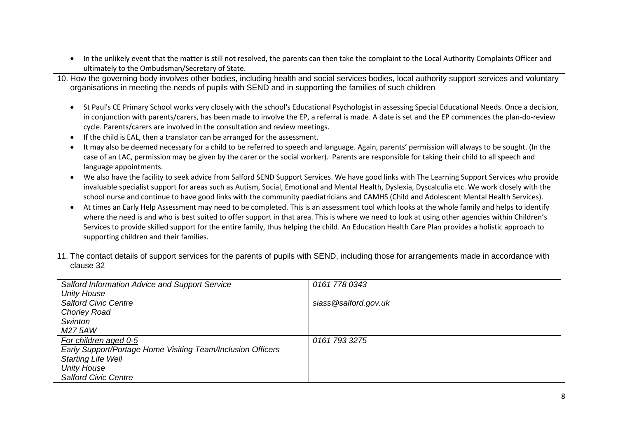| In the unlikely event that the matter is still not resolved, the parents can then take the complaint to the Local Authority Complaints Officer and<br>$\bullet$<br>ultimately to the Ombudsman/Secretary of State.                                                                                                                                                                                                                                                                                                                                                                                                                                                                                                                                                                                                                                                                                                                                                                                                                                                                                                                                                                                                                                                                                                                                                                                                                                                                                                                                                                                                  |                      |  |  |  |
|---------------------------------------------------------------------------------------------------------------------------------------------------------------------------------------------------------------------------------------------------------------------------------------------------------------------------------------------------------------------------------------------------------------------------------------------------------------------------------------------------------------------------------------------------------------------------------------------------------------------------------------------------------------------------------------------------------------------------------------------------------------------------------------------------------------------------------------------------------------------------------------------------------------------------------------------------------------------------------------------------------------------------------------------------------------------------------------------------------------------------------------------------------------------------------------------------------------------------------------------------------------------------------------------------------------------------------------------------------------------------------------------------------------------------------------------------------------------------------------------------------------------------------------------------------------------------------------------------------------------|----------------------|--|--|--|
| 10. How the governing body involves other bodies, including health and social services bodies, local authority support services and voluntary<br>organisations in meeting the needs of pupils with SEND and in supporting the families of such children                                                                                                                                                                                                                                                                                                                                                                                                                                                                                                                                                                                                                                                                                                                                                                                                                                                                                                                                                                                                                                                                                                                                                                                                                                                                                                                                                             |                      |  |  |  |
| St Paul's CE Primary School works very closely with the school's Educational Psychologist in assessing Special Educational Needs. Once a decision,<br>$\bullet$<br>in conjunction with parents/carers, has been made to involve the EP, a referral is made. A date is set and the EP commences the plan-do-review<br>cycle. Parents/carers are involved in the consultation and review meetings.<br>If the child is EAL, then a translator can be arranged for the assessment.<br>$\bullet$<br>It may also be deemed necessary for a child to be referred to speech and language. Again, parents' permission will always to be sought. (In the<br>$\bullet$<br>case of an LAC, permission may be given by the carer or the social worker). Parents are responsible for taking their child to all speech and<br>language appointments.<br>We also have the facility to seek advice from Salford SEND Support Services. We have good links with The Learning Support Services who provide<br>$\bullet$<br>invaluable specialist support for areas such as Autism, Social, Emotional and Mental Health, Dyslexia, Dyscalculia etc. We work closely with the<br>school nurse and continue to have good links with the community paediatricians and CAMHS (Child and Adolescent Mental Health Services).<br>At times an Early Help Assessment may need to be completed. This is an assessment tool which looks at the whole family and helps to identify<br>$\bullet$<br>where the need is and who is best suited to offer support in that area. This is where we need to look at using other agencies within Children's |                      |  |  |  |
| Services to provide skilled support for the entire family, thus helping the child. An Education Health Care Plan provides a holistic approach to<br>supporting children and their families.                                                                                                                                                                                                                                                                                                                                                                                                                                                                                                                                                                                                                                                                                                                                                                                                                                                                                                                                                                                                                                                                                                                                                                                                                                                                                                                                                                                                                         |                      |  |  |  |
| 11. The contact details of support services for the parents of pupils with SEND, including those for arrangements made in accordance with<br>clause 32                                                                                                                                                                                                                                                                                                                                                                                                                                                                                                                                                                                                                                                                                                                                                                                                                                                                                                                                                                                                                                                                                                                                                                                                                                                                                                                                                                                                                                                              |                      |  |  |  |
| Salford Information Advice and Support Service                                                                                                                                                                                                                                                                                                                                                                                                                                                                                                                                                                                                                                                                                                                                                                                                                                                                                                                                                                                                                                                                                                                                                                                                                                                                                                                                                                                                                                                                                                                                                                      | 0161 778 0343        |  |  |  |
| <b>Unity House</b>                                                                                                                                                                                                                                                                                                                                                                                                                                                                                                                                                                                                                                                                                                                                                                                                                                                                                                                                                                                                                                                                                                                                                                                                                                                                                                                                                                                                                                                                                                                                                                                                  |                      |  |  |  |
| <b>Salford Civic Centre</b>                                                                                                                                                                                                                                                                                                                                                                                                                                                                                                                                                                                                                                                                                                                                                                                                                                                                                                                                                                                                                                                                                                                                                                                                                                                                                                                                                                                                                                                                                                                                                                                         | siass@salford.gov.uk |  |  |  |
| <b>Chorley Road</b>                                                                                                                                                                                                                                                                                                                                                                                                                                                                                                                                                                                                                                                                                                                                                                                                                                                                                                                                                                                                                                                                                                                                                                                                                                                                                                                                                                                                                                                                                                                                                                                                 |                      |  |  |  |
| Swinton                                                                                                                                                                                                                                                                                                                                                                                                                                                                                                                                                                                                                                                                                                                                                                                                                                                                                                                                                                                                                                                                                                                                                                                                                                                                                                                                                                                                                                                                                                                                                                                                             |                      |  |  |  |
| M27 5AW                                                                                                                                                                                                                                                                                                                                                                                                                                                                                                                                                                                                                                                                                                                                                                                                                                                                                                                                                                                                                                                                                                                                                                                                                                                                                                                                                                                                                                                                                                                                                                                                             |                      |  |  |  |
| For children aged 0-5<br>Early Support/Portage Home Visiting Team/Inclusion Officers                                                                                                                                                                                                                                                                                                                                                                                                                                                                                                                                                                                                                                                                                                                                                                                                                                                                                                                                                                                                                                                                                                                                                                                                                                                                                                                                                                                                                                                                                                                                | 0161 793 3275        |  |  |  |
| <b>Starting Life Well</b>                                                                                                                                                                                                                                                                                                                                                                                                                                                                                                                                                                                                                                                                                                                                                                                                                                                                                                                                                                                                                                                                                                                                                                                                                                                                                                                                                                                                                                                                                                                                                                                           |                      |  |  |  |
| <b>Unity House</b>                                                                                                                                                                                                                                                                                                                                                                                                                                                                                                                                                                                                                                                                                                                                                                                                                                                                                                                                                                                                                                                                                                                                                                                                                                                                                                                                                                                                                                                                                                                                                                                                  |                      |  |  |  |
| <b>Salford Civic Centre</b>                                                                                                                                                                                                                                                                                                                                                                                                                                                                                                                                                                                                                                                                                                                                                                                                                                                                                                                                                                                                                                                                                                                                                                                                                                                                                                                                                                                                                                                                                                                                                                                         |                      |  |  |  |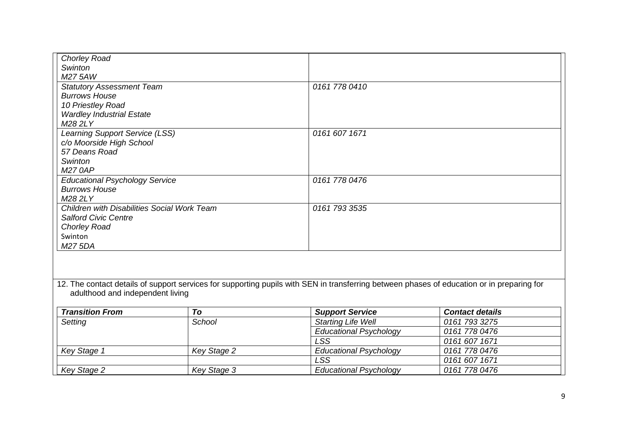| <b>Chorley Road</b><br>Swinton                                                                                                             |             |                               |                        |  |  |  |
|--------------------------------------------------------------------------------------------------------------------------------------------|-------------|-------------------------------|------------------------|--|--|--|
| M27 5AW                                                                                                                                    |             |                               |                        |  |  |  |
| <b>Statutory Assessment Team</b>                                                                                                           |             | 0161 778 0410                 |                        |  |  |  |
| <b>Burrows House</b>                                                                                                                       |             |                               |                        |  |  |  |
| 10 Priestley Road                                                                                                                          |             |                               |                        |  |  |  |
| <b>Wardley Industrial Estate</b>                                                                                                           |             |                               |                        |  |  |  |
| M28 2LY                                                                                                                                    |             |                               |                        |  |  |  |
| <b>Learning Support Service (LSS)</b>                                                                                                      |             | 0161 607 1671                 |                        |  |  |  |
| c/o Moorside High School                                                                                                                   |             |                               |                        |  |  |  |
| 57 Deans Road                                                                                                                              |             |                               |                        |  |  |  |
| Swinton                                                                                                                                    |             |                               |                        |  |  |  |
| <b>M27 0AP</b>                                                                                                                             |             |                               |                        |  |  |  |
| <b>Educational Psychology Service</b>                                                                                                      |             | 0161 778 0476                 |                        |  |  |  |
| <b>Burrows House</b>                                                                                                                       |             |                               |                        |  |  |  |
| M28 2LY                                                                                                                                    |             |                               |                        |  |  |  |
| Children with Disabilities Social Work Team                                                                                                |             | 0161 793 3535                 |                        |  |  |  |
| <b>Salford Civic Centre</b>                                                                                                                |             |                               |                        |  |  |  |
| <b>Chorley Road</b>                                                                                                                        |             |                               |                        |  |  |  |
| Swinton                                                                                                                                    |             |                               |                        |  |  |  |
| M27 5DA                                                                                                                                    |             |                               |                        |  |  |  |
| 12. The contact details of support services for supporting pupils with SEN in transferring between phases of education or in preparing for |             |                               |                        |  |  |  |
| adulthood and independent living                                                                                                           |             |                               |                        |  |  |  |
| <b>Transition From</b>                                                                                                                     | To          | <b>Support Service</b>        | <b>Contact details</b> |  |  |  |
| Setting                                                                                                                                    | School      | <b>Starting Life Well</b>     | 0161 793 3275          |  |  |  |
|                                                                                                                                            |             | <b>Educational Psychology</b> | 0161 778 0476          |  |  |  |
|                                                                                                                                            |             | <b>LSS</b>                    | 0161 607 1671          |  |  |  |
| Key Stage 1                                                                                                                                | Key Stage 2 | <b>Educational Psychology</b> | 0161 778 0476          |  |  |  |
|                                                                                                                                            |             | <b>LSS</b>                    | 0161 607 1671          |  |  |  |
| Key Stage 2                                                                                                                                | Key Stage 3 | <b>Educational Psychology</b> | 0161 778 0476          |  |  |  |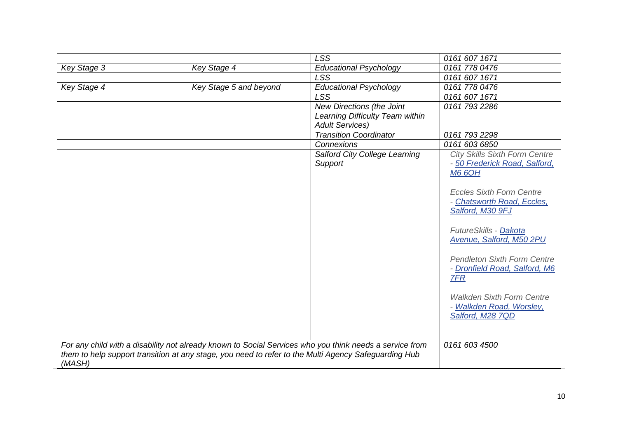|                                                                                                         |                        | <b>LSS</b>                      | 0161 607 1671                        |
|---------------------------------------------------------------------------------------------------------|------------------------|---------------------------------|--------------------------------------|
| Key Stage 3                                                                                             | Key Stage 4            | <b>Educational Psychology</b>   | 0161 778 0476                        |
|                                                                                                         |                        | <b>LSS</b>                      | 0161 607 1671                        |
| Key Stage 4                                                                                             | Key Stage 5 and beyond | <b>Educational Psychology</b>   | 0161 778 0476                        |
|                                                                                                         |                        | <b>LSS</b>                      | 0161 607 1671                        |
|                                                                                                         |                        | New Directions (the Joint       | 0161 793 2286                        |
|                                                                                                         |                        | Learning Difficulty Team within |                                      |
|                                                                                                         |                        | <b>Adult Services)</b>          |                                      |
|                                                                                                         |                        | <b>Transition Coordinator</b>   | 0161 793 2298                        |
|                                                                                                         |                        | Connexions                      | 0161 603 6850                        |
|                                                                                                         |                        | Salford City College Learning   | <b>City Skills Sixth Form Centre</b> |
|                                                                                                         |                        | Support                         | - 50 Frederick Road, Salford,        |
|                                                                                                         |                        |                                 | <b>M6 6QH</b>                        |
|                                                                                                         |                        |                                 |                                      |
|                                                                                                         |                        |                                 | <b>Eccles Sixth Form Centre</b>      |
|                                                                                                         |                        |                                 | - Chatsworth Road, Eccles,           |
|                                                                                                         |                        |                                 | Salford, M30 9FJ                     |
|                                                                                                         |                        |                                 | FutureSkills - Dakota                |
|                                                                                                         |                        |                                 | Avenue, Salford, M50 2PU             |
|                                                                                                         |                        |                                 | <b>Pendleton Sixth Form Centre</b>   |
|                                                                                                         |                        |                                 | - Dronfield Road, Salford, M6        |
|                                                                                                         |                        |                                 | <b>7FR</b>                           |
|                                                                                                         |                        |                                 | <b>Walkden Sixth Form Centre</b>     |
|                                                                                                         |                        |                                 | - Walkden Road, Worsley,             |
|                                                                                                         |                        |                                 | Salford, M28 7QD                     |
|                                                                                                         |                        |                                 |                                      |
|                                                                                                         |                        |                                 |                                      |
| For any child with a disability not already known to Social Services who you think needs a service from |                        |                                 | 0161 603 4500                        |
| them to help support transition at any stage, you need to refer to the Multi Agency Safeguarding Hub    |                        |                                 |                                      |
| (MASH)                                                                                                  |                        |                                 |                                      |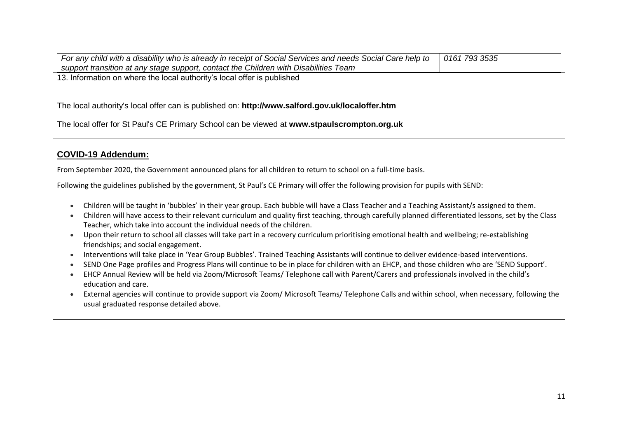| For any child with a disability who is already in receipt of Social Services and needs Social Care help to<br>support transition at any stage support, contact the Children with Disabilities Team                              | 0161 793 3535 |  |  |  |
|---------------------------------------------------------------------------------------------------------------------------------------------------------------------------------------------------------------------------------|---------------|--|--|--|
| 13. Information on where the local authority's local offer is published                                                                                                                                                         |               |  |  |  |
|                                                                                                                                                                                                                                 |               |  |  |  |
| The local authority's local offer can is published on: http://www.salford.gov.uk/localoffer.htm                                                                                                                                 |               |  |  |  |
| The local offer for St Paul's CE Primary School can be viewed at www.stpaulscrompton.org.uk                                                                                                                                     |               |  |  |  |
| <b>COVID-19 Addendum:</b>                                                                                                                                                                                                       |               |  |  |  |
|                                                                                                                                                                                                                                 |               |  |  |  |
| From September 2020, the Government announced plans for all children to return to school on a full-time basis.                                                                                                                  |               |  |  |  |
| Following the guidelines published by the government, St Paul's CE Primary will offer the following provision for pupils with SEND:                                                                                             |               |  |  |  |
| Children will be taught in 'bubbles' in their year group. Each bubble will have a Class Teacher and a Teaching Assistant/s assigned to them.<br>$\bullet$                                                                       |               |  |  |  |
| Children will have access to their relevant curriculum and quality first teaching, through carefully planned differentiated lessons, set by the Class<br>Teacher, which take into account the individual needs of the children. |               |  |  |  |
| Upon their return to school all classes will take part in a recovery curriculum prioritising emotional health and wellbeing; re-establishing<br>friendships; and social engagement.                                             |               |  |  |  |
| Interventions will take place in 'Year Group Bubbles'. Trained Teaching Assistants will continue to deliver evidence-based interventions.                                                                                       |               |  |  |  |
| SEND One Page profiles and Progress Plans will continue to be in place for children with an EHCP, and those children who are 'SEND Support'.<br>$\bullet$                                                                       |               |  |  |  |
| EHCP Annual Review will be held via Zoom/Microsoft Teams/ Telephone call with Parent/Carers and professionals involved in the child's<br>education and care.                                                                    |               |  |  |  |
| External agencies will continue to provide support via Zoom/ Microsoft Teams/ Telephone Calls and within school, when necessary, following the<br>usual graduated response detailed above.                                      |               |  |  |  |
|                                                                                                                                                                                                                                 |               |  |  |  |